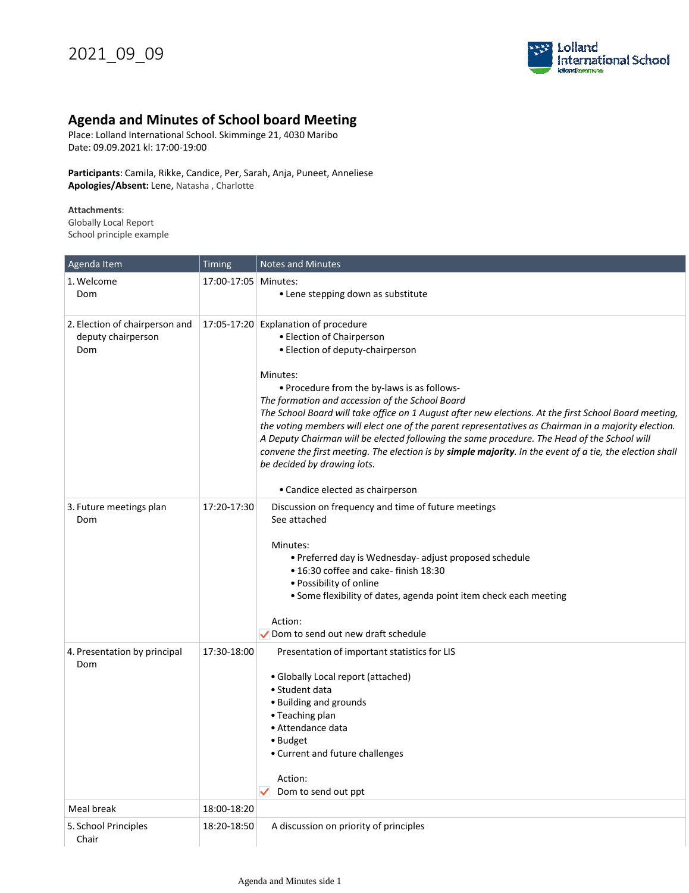

## **Agenda and Minutes of School board Meeting**

Place: Lolland International School. Skimminge 21, 4030 Maribo Date: 09.09.2021 kl: 17:00-19:00

**Participants**: Camila, Rikke, Candice, Per, Sarah, Anja, Puneet, Anneliese **Apologies/Absent:** Lene, Natasha , Charlotte

**Attachments**:

Globally Local Report School principle example

| Agenda Item                                                 | <b>Timing</b>        | <b>Notes and Minutes</b>                                                                                                                                                                                                                                                                                                                                                                                                                                                                                                                                                                                                                                                                                          |
|-------------------------------------------------------------|----------------------|-------------------------------------------------------------------------------------------------------------------------------------------------------------------------------------------------------------------------------------------------------------------------------------------------------------------------------------------------------------------------------------------------------------------------------------------------------------------------------------------------------------------------------------------------------------------------------------------------------------------------------------------------------------------------------------------------------------------|
| 1. Welcome<br>Dom                                           | 17:00-17:05 Minutes: | • Lene stepping down as substitute                                                                                                                                                                                                                                                                                                                                                                                                                                                                                                                                                                                                                                                                                |
| 2. Election of chairperson and<br>deputy chairperson<br>Dom |                      | 17:05-17:20 Explanation of procedure<br>• Election of Chairperson<br>• Election of deputy-chairperson<br>Minutes:<br>• Procedure from the by-laws is as follows-<br>The formation and accession of the School Board<br>The School Board will take office on 1 August after new elections. At the first School Board meeting,<br>the voting members will elect one of the parent representatives as Chairman in a majority election.<br>A Deputy Chairman will be elected following the same procedure. The Head of the School will<br>convene the first meeting. The election is by simple majority. In the event of a tie, the election shall<br>be decided by drawing lots.<br>• Candice elected as chairperson |
| 3. Future meetings plan<br>Dom                              | 17:20-17:30          | Discussion on frequency and time of future meetings<br>See attached<br>Minutes:<br>• Preferred day is Wednesday- adjust proposed schedule<br>• 16:30 coffee and cake- finish 18:30<br>• Possibility of online<br>• Some flexibility of dates, agenda point item check each meeting<br>Action:<br>$\sqrt{}$ Dom to send out new draft schedule                                                                                                                                                                                                                                                                                                                                                                     |
| 4. Presentation by principal<br>Dom                         | 17:30-18:00          | Presentation of important statistics for LIS<br>• Globally Local report (attached)<br>• Student data<br>• Building and grounds<br>• Teaching plan<br>• Attendance data<br>• Budget<br>• Current and future challenges<br>Action:<br>Dom to send out ppt                                                                                                                                                                                                                                                                                                                                                                                                                                                           |
| Meal break                                                  | 18:00-18:20          |                                                                                                                                                                                                                                                                                                                                                                                                                                                                                                                                                                                                                                                                                                                   |
| 5. School Principles<br>Chair                               | 18:20-18:50          | A discussion on priority of principles                                                                                                                                                                                                                                                                                                                                                                                                                                                                                                                                                                                                                                                                            |